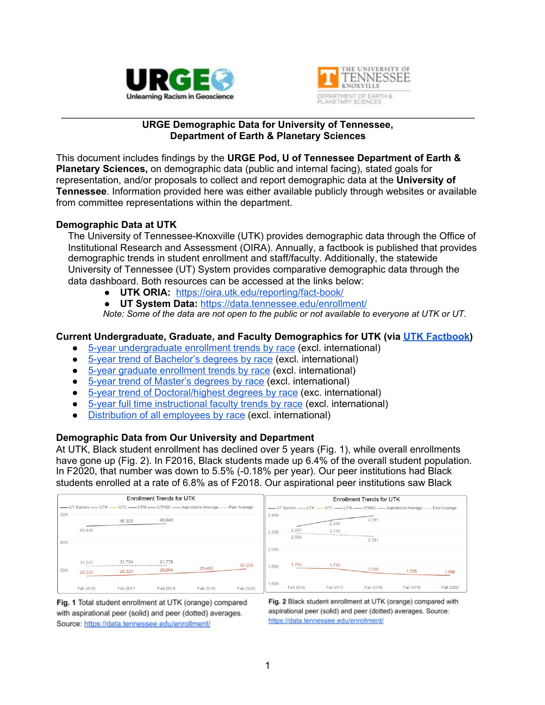



#### \_\_\_\_\_\_\_\_\_\_\_\_\_\_\_\_\_\_\_\_\_\_\_\_\_\_\_\_\_\_\_\_\_\_\_\_\_\_\_\_\_\_\_\_\_\_\_\_\_\_\_\_\_\_\_\_\_\_\_\_\_\_\_\_\_\_\_\_\_\_\_\_\_\_\_\_ **URGE Demographic Data for University of Tennessee, Department of Earth & Planetary Sciences**

This document includes findings by the **URGE Pod, U of Tennessee Department of Earth & Planetary Sciences,** on demographic data (public and internal facing), stated goals for representation, and/or proposals to collect and report demographic data at the **University of Tennessee**. Information provided here was either available publicly through websites or available from committee representations within the department.

#### **Demographic Data at UTK**

The University of Tennessee-Knoxville (UTK) provides demographic data through the Office of Institutional Research and Assessment (OIRA). Annually, a factbook is published that provides demographic trends in student enrollment and staff/faculty. Additionally, the statewide University of Tennessee (UT) System provides comparative demographic data through the data dashboard. Both resources can be accessed at the links below:

- **UTK ORIA:** <https://oira.utk.edu/reporting/fact-book/>
- **UT System Data:** <https://data.tennessee.edu/enrollment/>

Note: Some of the data are not open to the public or not available to everyone at UTK or UT.

#### **Current Undergraduate, Graduate, and Faculty Demographics for UTK (via UTK [Factbook\)](https://oira.utk.edu/reporting/fact-book/)**

- 5-year [undergraduate](https://oira.utk.edu/wp-content/uploads/sites/66/2021/01/5-Year-Trend-of-Undergraduate-Headcount-Enrollment-by-Race_Ethnicity-Excludes-International_2020-21.pdf) enrollment trends by race (excl. international)
- 5-year trend of [Bachelor's](https://oira.utk.edu/wp-content/uploads/sites/66/2021/01/2020_21_5-Year-Trend-of-Bachelors-Degrees-by-Race_Ethnicity-Excludes-International.pdf) degrees by race (excl. international)
- 5-year graduate [enrollment](https://oira.utk.edu/wp-content/uploads/sites/66/2021/01/5-Year-Trend-of-Graduate_Professional-Headcount-Enrollment-by-Race_Ethnicity-Excludes-International_2020-21.pdf) trends by race (excl. international)
- 5-year trend of [Master's](https://oira.utk.edu/wp-content/uploads/sites/66/2021/01/2020_21_5-Year-Trend-of-Masters-Degrees-by-Race_Ethnicity-Excludes-International.pdf) degrees by race (excl. international)
- 5-year trend of [Doctoral/highest](https://oira.utk.edu/wp-content/uploads/sites/66/2021/01/2020_21_5-Year-Trend-of-Doctors-Degrees-by-Race_Ethnicity-Excludes-International.pdf) degrees by race (exc. international)
- 5-year full time [instructional](https://oira.utk.edu/wp-content/uploads/sites/66/2021/01/5-Year-Trend-of-Full-time-Instructional-Faculty-By-Race_Ethnicity-Excludes-International-2020.pdf) faculty trends by race (excl. international)
- [Distribution](https://oira.utk.edu/wp-content/uploads/sites/66/2021/01/Distribution-of-Employees-By-EEO-Category-and-Race-Excludes-International-2020.pdf) of all employees by race (excl. international)

#### **Demographic Data from Our University and Department**

At UTK, Black student enrollment has declined over 5 years (Fig. 1), while overall enrollments have gone up (Fig. 2). In F2016, Black students made up 6.4% of the overall student population. In F2020, that number was down to 5.5% (-0.18% per year). Our peer institutions had Black students enrolled at a rate of 6.8% as of F2018. Our aspirational peer institutions saw Black

| <b>Enrollment Trends for UTK</b>                                         |                                                |           |                   |           |           | <b>Enrollment Trends for UTK</b>                                         |           |           |           |           |           |
|--------------------------------------------------------------------------|------------------------------------------------|-----------|-------------------|-----------|-----------|--------------------------------------------------------------------------|-----------|-----------|-----------|-----------|-----------|
| UT System — UTK — UTC — UTM — UTHSC — Aspirational Average  Peer Average |                                                |           |                   |           |           | UT System - UTK - UTC - UTM - UTHSC - Aspirational Average  Peer Average |           |           |           |           |           |
| 50K                                                                      |                                                | 46,303    | 46,649            |           |           | 2,400                                                                    |           | 2,346     | 2,391     |           |           |
|                                                                          | 45,826                                         |           |                   |           |           | 2,200                                                                    | 2.267     | 2.170     |           |           |           |
| 40K                                                                      |                                                |           |                   |           |           | 2,000                                                                    | 2,188     |           | 2,151     |           |           |
|                                                                          | 31,551                                         | 31,794    | 31,778<br>1.1.1.1 |           | 30,559    |                                                                          | 1,783     | 1,774     |           |           |           |
| 30K                                                                      | <b><i><u><u>ARRAHANA</u></u></i></b><br>28,052 | 28,321    | 28,894            | 29,460    |           | 1,800                                                                    |           |           | 1,726     | 1,705     | 1,696     |
|                                                                          | Fall 2016                                      | Fall 2017 | Fall 2018         | Fall 2019 | Fall 2020 | 1,600                                                                    | Fall 2016 | Fall 2017 | Fall 2018 | Fall 2019 | Fall 2020 |

Fig. 1 Total student enrollment at UTK (orange) compared with aspirational peer (solid) and peer (dotted) averages. Source: https://data.tennessee.edu/enrollment/

Fig. 2 Black student enrollment at UTK (orange) compared with aspirational peer (solid) and peer (dotted) averages. Source: https://data.tennessee.edu/enrollment/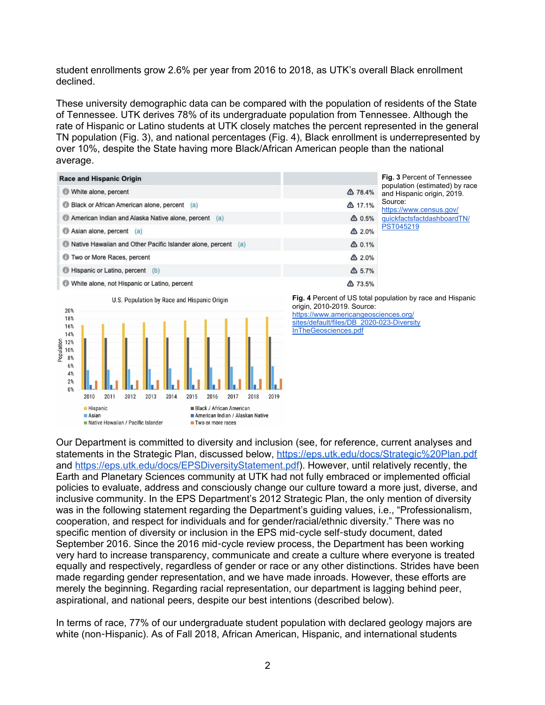student enrollments grow 2.6% per year from 2016 to 2018, as UTK's overall Black enrollment declined.

These university demographic data can be compared with the population of residents of the State of Tennessee. UTK derives 78% of its undergraduate population from Tennessee. Although the rate of Hispanic or Latino students at UTK closely matches the percent represented in the general TN population (Fig. 3), and national percentages (Fig. 4), Black enrollment is underrepresented by over 10%, despite the State having more Black/African American people than the national average.

| <b>Race and Hispanic Origin</b>                               |                  | <b>Fig. 3 Percent of Tennessee</b>                               |  |  |
|---------------------------------------------------------------|------------------|------------------------------------------------------------------|--|--|
| White alone, percent                                          | △ 78.4%          | population (estimated) by race<br>and Hispanic origin, 2019.     |  |  |
| Black or African American alone, percent (a)                  | △ 17.1%          | Source:<br>https://www.census.gov/<br>quickfactsfactdashboardTN/ |  |  |
| American Indian and Alaska Native alone, percent (a)          | $\triangle$ 0.5% |                                                                  |  |  |
| Asian alone, percent (a)                                      | $\Delta 2.0\%$   | PST045219                                                        |  |  |
| Native Hawaiian and Other Pacific Islander alone, percent (a) | $\triangle$ 0.1% |                                                                  |  |  |
| Two or More Races, percent                                    | $\triangle$ 2.0% |                                                                  |  |  |
| Hispanic or Latino, percent (b)                               | $\triangle$ 5.7% |                                                                  |  |  |
| White alone, not Hispanic or Latino, percent                  | △ 73.5%          |                                                                  |  |  |



**Fig. 4** Percent of US total population by race and Hispanic origin, 2010-2019. Source: [https://www.americangeosciences.org/](https://www.americangeosciences.org/sites/default/files/DB_2020-023-DiversityInTheGeosciences.pdf)

[sites/default/files/DB\\_2020-023-Diversity](https://www.americangeosciences.org/sites/default/files/DB_2020-023-DiversityInTheGeosciences.pdf) [InTheGeosciences.pdf](https://www.americangeosciences.org/sites/default/files/DB_2020-023-DiversityInTheGeosciences.pdf)

Our Department is committed to diversity and inclusion (see, for reference, current analyses and statements in the Strategic Plan, discussed below, <https://eps.utk.edu/docs/Strategic%20Plan.pdf> and <https://eps.utk.edu/docs/EPSDiversityStatement.pdf>). However, until relatively recently, the Earth and Planetary Sciences community at UTK had not fully embraced or implemented official policies to evaluate, address and consciously change our culture toward a more just, diverse, and inclusive community. In the EPS Department's 2012 Strategic Plan, the only mention of diversity was in the following statement regarding the Department's guiding values, i.e., "Professionalism, cooperation, and respect for individuals and for gender/racial/ethnic diversity." There was no specific mention of diversity or inclusion in the EPS mid-cycle self-study document, dated September 2016. Since the 2016 mid-cycle review process, the Department has been working very hard to increase transparency, communicate and create a culture where everyone is treated equally and respectively, regardless of gender or race or any other distinctions. Strides have been made regarding gender representation, and we have made inroads. However, these efforts are merely the beginning. Regarding racial representation, our department is lagging behind peer, aspirational, and national peers, despite our best intentions (described below).

In terms of race, 77% of our undergraduate student population with declared geology majors are white (non-Hispanic). As of Fall 2018, African American, Hispanic, and international students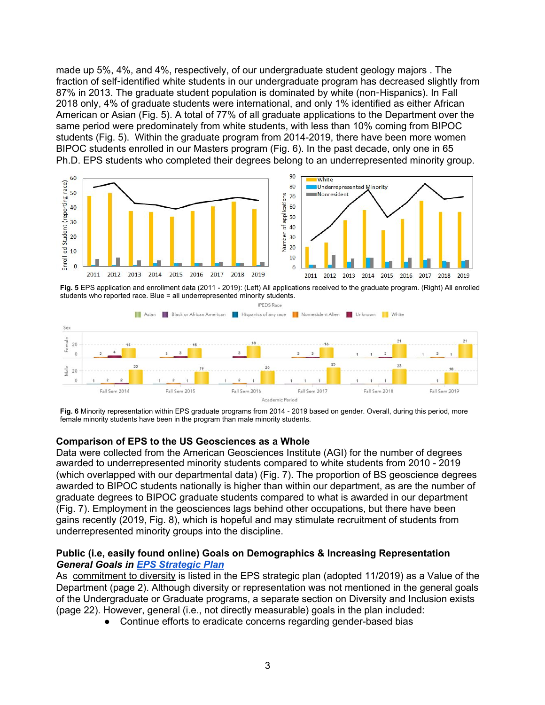made up 5%, 4%, and 4%, respectively, of our undergraduate student geology majors . The fraction of self-identified white students in our undergraduate program has decreased slightly from 87% in 2013. The graduate student population is dominated by white (non-Hispanics). In Fall 2018 only, 4% of graduate students were international, and only 1% identified as either African American or Asian (Fig. 5). A total of 77% of all graduate applications to the Department over the same period were predominately from white students, with less than 10% coming from BIPOC students (Fig. 5). Within the graduate program from 2014-2019, there have been more women BIPOC students enrolled in our Masters program (Fig. 6). In the past decade, only one in 65 Ph.D. EPS students who completed their degrees belong to an underrepresented minority group.



**Fig. 5** EPS application and enrollment data (2011 - 2019): (Left) All applications received to the graduate program. (Right) All enrolled students who reported race. Blue = all underrepresented minority students.



**Fig. 6** Minority representation within EPS graduate programs from 2014 - 2019 based on gender. Overall, during this period, more female minority students have been in the program than male minority students.

## **Comparison of EPS to the US Geosciences as a Whole**

Data were collected from the American Geosciences Institute (AGI) for the number of degrees awarded to underrepresented minority students compared to white students from 2010 - 2019 (which overlapped with our departmental data) (Fig. 7). The proportion of BS geoscience degrees awarded to BIPOC students nationally is higher than within our department, as are the number of graduate degrees to BIPOC graduate students compared to what is awarded in our department (Fig. 7). Employment in the geosciences lags behind other occupations, but there have been gains recently (2019, Fig. 8), which is hopeful and may stimulate recruitment of students from underrepresented minority groups into the discipline.

#### **Public (i.e, easily found online) Goals on Demographics & Increasing Representation** *General Goals in EPS [Strategic](https://eps.utk.edu/docs/Strategic%20Plan.pdf) Plan*

As commitment to diversity is listed in the EPS strategic plan (adopted 11/2019) as a Value of the Department (page 2). Although diversity or representation was not mentioned in the general goals of the Undergraduate or Graduate programs, a separate section on Diversity and Inclusion exists (page 22). However, general (i.e., not directly measurable) goals in the plan included:

• Continue efforts to eradicate concerns regarding gender-based bias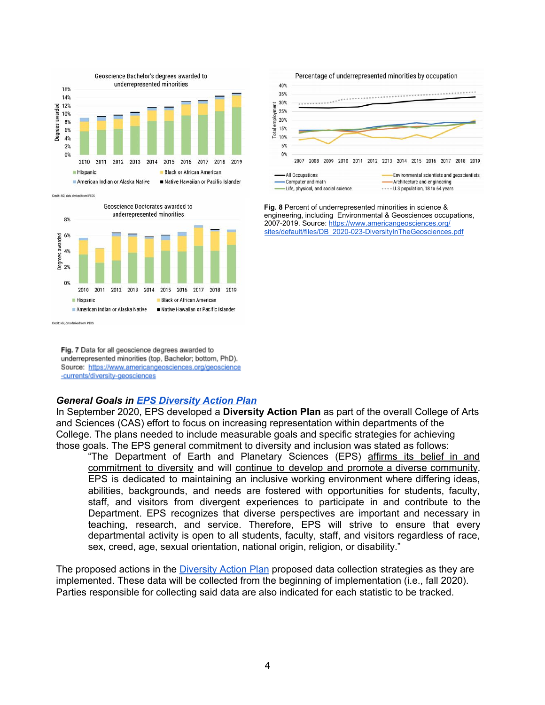

Credit: AGI, data derived from IPED



Fig. 7 Data for all geoscience degrees awarded to underrepresented minorities (top, Bachelor; bottom, PhD). Source: https://www.americangeosciences.org/geoscience -currents/diversity-geosciences



**Fig. 8** Percent of underrepresented minorities in science & engineering, including Environmental & Geosciences occupations, 2007-2019. Source: [https://www.americangeosciences.org/](https://www.americangeosciences.org/sites/default/files/DB_2020-023-DiversityInTheGeosciences.pdf) [sites/default/files/DB\\_2020-023-DiversityInTheGeosciences.pdf](https://www.americangeosciences.org/sites/default/files/DB_2020-023-DiversityInTheGeosciences.pdf)

#### *General Goals in EPS [Diversity](https://liveutk.sharepoint.com/:b:/r/sites/URGE-UofTennesseeEarthandPlanetarySciencesPod/Shared%20Documents/Session%203%20Demographic%20Data%20Deliverable/CAS%20Department%20Diversity%20Action%20Plan%20EPS%202020.pdf?csf=1&web=1&e=Tek2Ca) Action Plan*

In September 2020, EPS developed a **Diversity Action Plan** as part of the overall College of Arts and Sciences (CAS) effort to focus on increasing representation within departments of the College. The plans needed to include measurable goals and specific strategies for achieving those goals. The EPS general commitment to diversity and inclusion was stated as follows:

"The Department of Earth and Planetary Sciences (EPS) affirms its belief in and commitment to diversity and will continue to develop and promote a diverse community. EPS is dedicated to maintaining an inclusive working environment where differing ideas, abilities, backgrounds, and needs are fostered with opportunities for students, faculty, staff, and visitors from divergent experiences to participate in and contribute to the Department. EPS recognizes that diverse perspectives are important and necessary in teaching, research, and service. Therefore, EPS will strive to ensure that every departmental activity is open to all students, faculty, staff, and visitors regardless of race, sex, creed, age, sexual orientation, national origin, religion, or disability."

The proposed actions in the **[Diversity](https://liveutk.sharepoint.com/:b:/r/sites/URGE-UofTennesseeEarthandPlanetarySciencesPod/Shared%20Documents/Session%203%20Demographic%20Data%20Deliverable/CAS%20Department%20Diversity%20Action%20Plan%20EPS%202020.pdf?csf=1&web=1&e=Tek2Ca) Action Plan** proposed data collection strategies as they are implemented. These data will be collected from the beginning of implementation (i.e., fall 2020). Parties responsible for collecting said data are also indicated for each statistic to be tracked.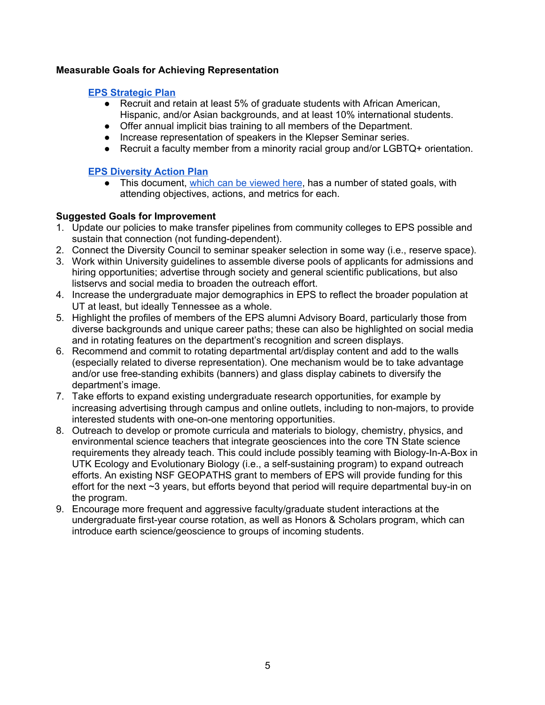# **Measurable Goals for Achieving Representation**

## **EPS [Strategic](https://eps.utk.edu/docs/Strategic%20Plan.pdf) Plan**

- Recruit and retain at least 5% of graduate students with African American, Hispanic, and/or Asian backgrounds, and at least 10% international students.
- Offer annual implicit bias training to all members of the Department.
- Increase representation of speakers in the Klepser Seminar series.
- Recruit a faculty member from a minority racial group and/or LGBTQ+ orientation.

# **EPS [Diversity](https://liveutk.sharepoint.com/:b:/r/sites/URGE-UofTennesseeEarthandPlanetarySciencesPod/Shared%20Documents/Session%203%20Demographic%20Data%20Deliverable/CAS%20Department%20Diversity%20Action%20Plan%20EPS%202020.pdf?csf=1&web=1&e=Tek2Ca) Action Plan**

• This document, which can be [viewed](https://liveutk.sharepoint.com/:b:/r/sites/URGE-UofTennesseeEarthandPlanetarySciencesPod/Shared%20Documents/Session%203%20Demographic%20Data%20Deliverable/CAS%20Department%20Diversity%20Action%20Plan%20EPS%202020.pdf?csf=1&web=1&e=Tek2Ca) here, has a number of stated goals, with attending objectives, actions, and metrics for each.

# **Suggested Goals for Improvement**

- 1. Update our policies to make transfer pipelines from community colleges to EPS possible and sustain that connection (not funding-dependent).
- 2. Connect the Diversity Council to seminar speaker selection in some way (i.e., reserve space).
- 3. Work within University guidelines to assemble diverse pools of applicants for admissions and hiring opportunities; advertise through society and general scientific publications, but also listservs and social media to broaden the outreach effort.
- 4. Increase the undergraduate major demographics in EPS to reflect the broader population at UT at least, but ideally Tennessee as a whole.
- 5. Highlight the profiles of members of the EPS alumni Advisory Board, particularly those from diverse backgrounds and unique career paths; these can also be highlighted on social media and in rotating features on the department's recognition and screen displays.
- 6. Recommend and commit to rotating departmental art/display content and add to the walls (especially related to diverse representation). One mechanism would be to take advantage and/or use free-standing exhibits (banners) and glass display cabinets to diversify the department's image.
- 7. Take efforts to expand existing undergraduate research opportunities, for example by increasing advertising through campus and online outlets, including to non-majors, to provide interested students with one-on-one mentoring opportunities.
- 8. Outreach to develop or promote curricula and materials to biology, chemistry, physics, and environmental science teachers that integrate geosciences into the core TN State science requirements they already teach. This could include possibly teaming with Biology-In-A-Box in UTK Ecology and Evolutionary Biology (i.e., a self-sustaining program) to expand outreach efforts. An existing NSF GEOPATHS grant to members of EPS will provide funding for this effort for the next ~3 years, but efforts beyond that period will require departmental buy-in on the program.
- 9. Encourage more frequent and aggressive faculty/graduate student interactions at the undergraduate first-year course rotation, as well as Honors & Scholars program, which can introduce earth science/geoscience to groups of incoming students.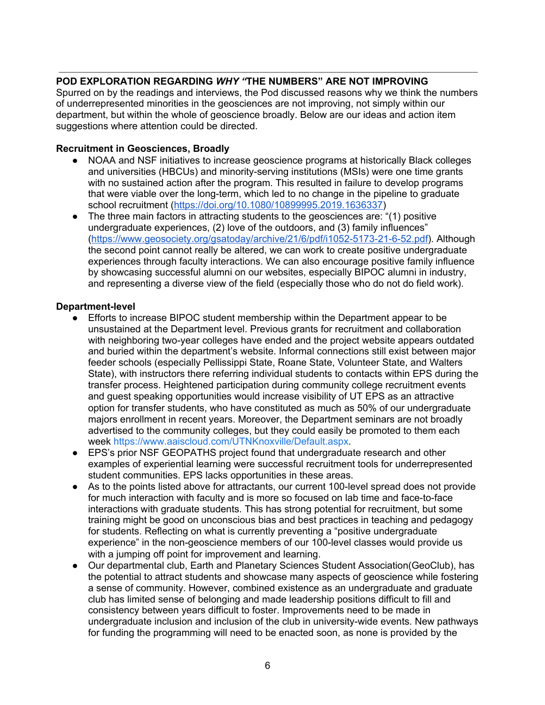# **POD EXPLORATION REGARDING** *WHY "***THE NUMBERS" ARE NOT IMPROVING**

Spurred on by the readings and interviews, the Pod discussed reasons why we think the numbers of underrepresented minorities in the geosciences are not improving, not simply within our department, but within the whole of geoscience broadly. Below are our ideas and action item suggestions where attention could be directed.

## **Recruitment in Geosciences, Broadly**

- NOAA and NSF initiatives to increase geoscience programs at historically Black colleges and universities (HBCUs) and minority-serving institutions (MSIs) were one time grants with no sustained action after the program. This resulted in failure to develop programs that were viable over the long-term, which led to no change in the pipeline to graduate school recruitment (<https://doi.org/10.1080/10899995.2019.1636337>)
- The three main factors in attracting students to the geosciences are: "(1) positive undergraduate experiences, (2) love of the outdoors, and (3) family influences" ([https://www.geosociety.org/gsatoday/archive/21/6/pdf/i1052-5173-21-6-52.pdf\)](https://www.geosociety.org/gsatoday/archive/21/6/pdf/i1052-5173-21-6-52.pdf). Although the second point cannot really be altered, we can work to create positive undergraduate experiences through faculty interactions. We can also encourage positive family influence by showcasing successful alumni on our websites, especially BIPOC alumni in industry, and representing a diverse view of the field (especially those who do not do field work).

#### **Department-level**

- Efforts to increase BIPOC student membership within the Department appear to be unsustained at the Department level. Previous grants for recruitment and collaboration with neighboring two-year colleges have ended and the project website appears outdated and buried within the department's website. Informal connections still exist between major feeder schools (especially Pellissippi State, Roane State, Volunteer State, and Walters State), with instructors there referring individual students to contacts within EPS during the transfer process. Heightened participation during community college recruitment events and guest speaking opportunities would increase visibility of UT EPS as an attractive option for transfer students, who have constituted as much as 50% of our undergraduate majors enrollment in recent years. Moreover, the Department seminars are not broadly advertised to the community colleges, but they could easily be promoted to them each week [https://www.aaiscloud.com/UTNKnoxville/Default.aspx.](https://www.aaiscloud.com/UTNKnoxville/Default.aspx)
- EPS's prior NSF GEOPATHS project found that undergraduate research and other examples of experiential learning were successful recruitment tools for underrepresented student communities. EPS lacks opportunities in these areas.
- As to the points listed above for attractants, our current 100-level spread does not provide for much interaction with faculty and is more so focused on lab time and face-to-face interactions with graduate students. This has strong potential for recruitment, but some training might be good on unconscious bias and best practices in teaching and pedagogy for students. Reflecting on what is currently preventing a "positive undergraduate experience" in the non-geoscience members of our 100-level classes would provide us with a jumping off point for improvement and learning.
- Our departmental club, Earth and Planetary Sciences Student Association(GeoClub), has the potential to attract students and showcase many aspects of geoscience while fostering a sense of community. However, combined existence as an undergraduate and graduate club has limited sense of belonging and made leadership positions difficult to fill and consistency between years difficult to foster. Improvements need to be made in undergraduate inclusion and inclusion of the club in university-wide events. New pathways for funding the programming will need to be enacted soon, as none is provided by the